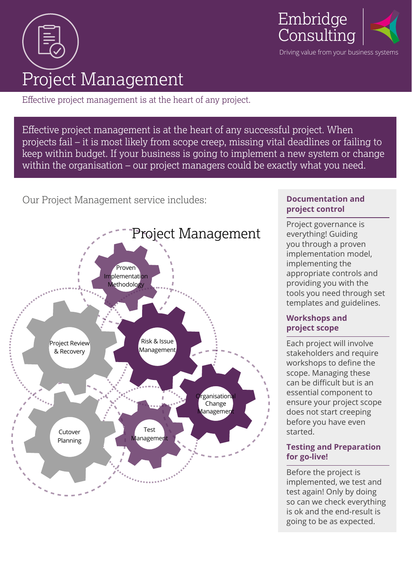



Effective project management is at the heart of any project.

Effective project management is at the heart of any successful project. When projects fail – it is most likely from scope creep, missing vital deadlines or failing to keep within budget. If your business is going to implement a new system or change within the organisation – our project managers could be exactly what you need.

Our Project Management service includes:



## **Documentation and project control**

Project governance is everything! Guiding you through a proven implementation model, implementing the appropriate controls and providing you with the tools you need through set templates and guidelines.

## **Workshops and project scope**

Each project will involve stakeholders and require workshops to define the scope. Managing these can be difficult but is an essential component to ensure your project scope does not start creeping before you have even started.

## **Testing and Preparation for go-live!**

Before the project is implemented, we test and test again! Only by doing so can we check everything is ok and the end-result is going to be as expected.